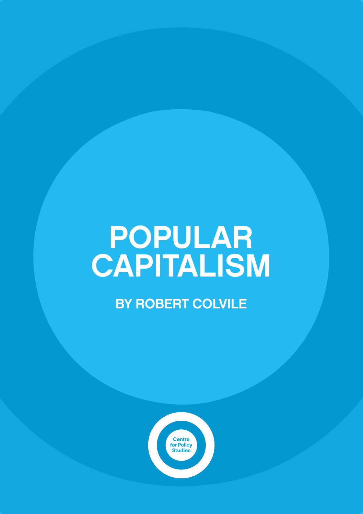# POPULAR CAPITALISM

BY ROBERT COLVILE

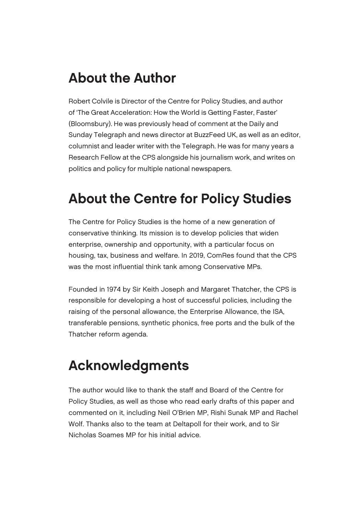### About the Author

Robert Colvile is Director of the Centre for Policy Studies, and author of 'The Great Acceleration: How the World is Getting Faster, Faster' (Bloomsbury). He was previously head of comment at the Daily and Sunday Telegraph and news director at BuzzFeed UK, as well as an editor, columnist and leader writer with the Telegraph. He was for many years a Research Fellow at the CPS alongside his journalism work, and writes on politics and policy for multiple national newspapers.

### About the Centre for Policy Studies

The Centre for Policy Studies is the home of a new generation of conservative thinking. Its mission is to develop policies that widen enterprise, ownership and opportunity, with a particular focus on housing, tax, business and welfare. In 2019, ComRes found that the CPS was the most influential think tank among Conservative MPs.

Founded in 1974 by Sir Keith Joseph and Margaret Thatcher, the CPS is responsible for developing a host of successful policies, including the raising of the personal allowance, the Enterprise Allowance, the ISA, transferable pensions, synthetic phonics, free ports and the bulk of the Thatcher reform agenda.

### Acknowledgments

The author would like to thank the staff and Board of the Centre for Policy Studies, as well as those who read early drafts of this paper and commented on it, including Neil O'Brien MP, Rishi Sunak MP and Rachel Wolf. Thanks also to the team at Deltapoll for their work, and to Sir Nicholas Soames MP for his initial advice.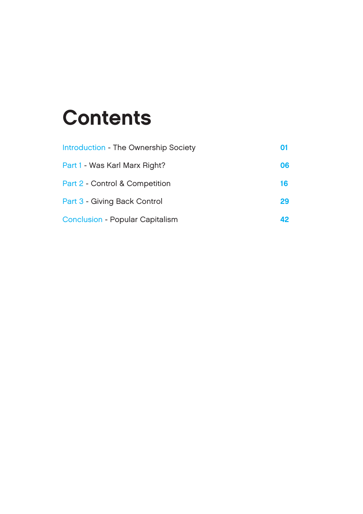### **Contents**

| Introduction - The Ownership Society | 01 |
|--------------------------------------|----|
| Part 1 - Was Karl Marx Right?        | 06 |
| Part 2 - Control & Competition       | 16 |
| Part 3 - Giving Back Control         | 29 |
| Conclusion - Popular Capitalism      | 42 |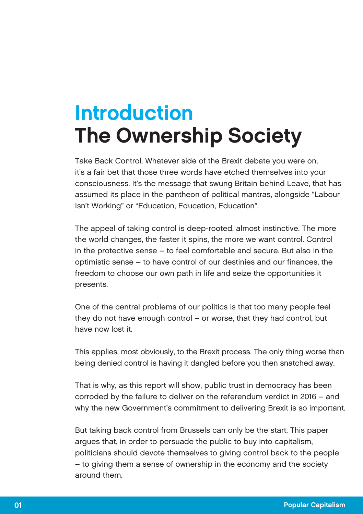### Introduction The Ownership Society

Take Back Control. Whatever side of the Brexit debate you were on, it's a fair bet that those three words have etched themselves into your consciousness. It's the message that swung Britain behind Leave, that has assumed its place in the pantheon of political mantras, alongside "Labour Isn't Working" or "Education, Education, Education".

The appeal of taking control is deep-rooted, almost instinctive. The more the world changes, the faster it spins, the more we want control. Control in the protective sense – to feel comfortable and secure. But also in the optimistic sense – to have control of our destinies and our finances, the freedom to choose our own path in life and seize the opportunities it presents.

One of the central problems of our politics is that too many people feel they do not have enough control – or worse, that they had control, but have now lost it.

This applies, most obviously, to the Brexit process. The only thing worse than being denied control is having it dangled before you then snatched away.

That is why, as this report will show, public trust in democracy has been corroded by the failure to deliver on the referendum verdict in 2016 – and why the new Government's commitment to delivering Brexit is so important.

But taking back control from Brussels can only be the start. This paper argues that, in order to persuade the public to buy into capitalism, politicians should devote themselves to giving control back to the people – to giving them a sense of ownership in the economy and the society around them.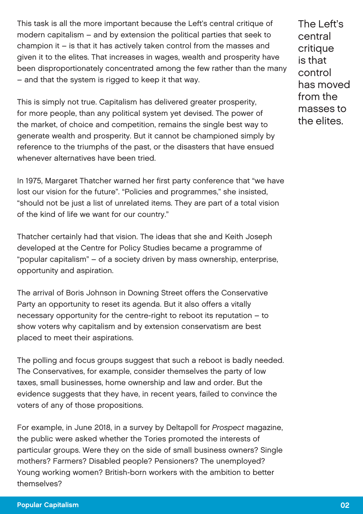This task is all the more important because the Left's central critique of modern capitalism – and by extension the political parties that seek to champion it – is that it has actively taken control from the masses and given it to the elites. That increases in wages, wealth and prosperity have been disproportionately concentrated among the few rather than the many – and that the system is rigged to keep it that way.

This is simply not true. Capitalism has delivered greater prosperity, for more people, than any political system yet devised. The power of the market, of choice and competition, remains the single best way to generate wealth and prosperity. But it cannot be championed simply by reference to the triumphs of the past, or the disasters that have ensued whenever alternatives have been tried.

In 1975, Margaret Thatcher warned her first party conference that "we have lost our vision for the future". "Policies and programmes," she insisted, "should not be just a list of unrelated items. They are part of a total vision of the kind of life we want for our country."

Thatcher certainly had that vision. The ideas that she and Keith Joseph developed at the Centre for Policy Studies became a programme of "popular capitalism" – of a society driven by mass ownership, enterprise, opportunity and aspiration.

The arrival of Boris Johnson in Downing Street offers the Conservative Party an opportunity to reset its agenda. But it also offers a vitally necessary opportunity for the centre-right to reboot its reputation – to show voters why capitalism and by extension conservatism are best placed to meet their aspirations.

The polling and focus groups suggest that such a reboot is badly needed. The Conservatives, for example, consider themselves the party of low taxes, small businesses, home ownership and law and order. But the evidence suggests that they have, in recent years, failed to convince the voters of any of those propositions.

For example, in June 2018, in a survey by Deltapoll for Prospect magazine, the public were asked whether the Tories promoted the interests of particular groups. Were they on the side of small business owners? Single mothers? Farmers? Disabled people? Pensioners? The unemployed? Young working women? British-born workers with the ambition to better themselves?

The Left's central critique is that control has moved from the masses to the elites.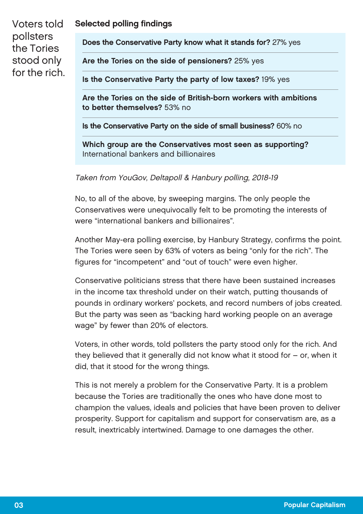### Selected polling findings

Voters told pollsters the Tories stood only for the rich.

Does the Conservative Party know what it stands for? 27% yes

Are the Tories on the side of pensioners? 25% yes

Is the Conservative Party the party of low taxes? 19% yes

Are the Tories on the side of British-born workers with ambitions to better themselves? 53% no

Is the Conservative Party on the side of small business? 60% no

Which group are the Conservatives most seen as supporting? International bankers and billionaires

Taken from YouGov, Deltapoll & Hanbury polling, 2018-19

No, to all of the above, by sweeping margins. The only people the Conservatives were unequivocally felt to be promoting the interests of were "international bankers and billionaires".

Another May-era polling exercise, by Hanbury Strategy, confirms the point. The Tories were seen by 63% of voters as being "only for the rich". The figures for "incompetent" and "out of touch" were even higher.

Conservative politicians stress that there have been sustained increases in the income tax threshold under on their watch, putting thousands of pounds in ordinary workers' pockets, and record numbers of jobs created. But the party was seen as "backing hard working people on an average wage" by fewer than 20% of electors.

Voters, in other words, told pollsters the party stood only for the rich. And they believed that it generally did not know what it stood for – or, when it did, that it stood for the wrong things.

This is not merely a problem for the Conservative Party. It is a problem because the Tories are traditionally the ones who have done most to champion the values, ideals and policies that have been proven to deliver prosperity. Support for capitalism and support for conservatism are, as a result, inextricably intertwined. Damage to one damages the other.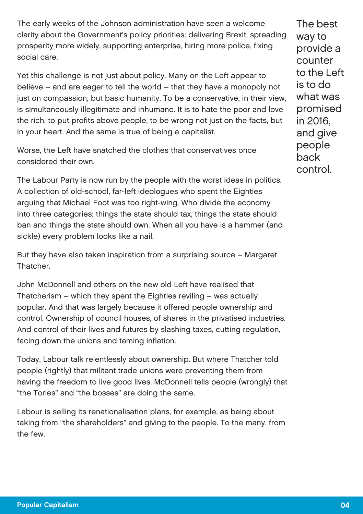The early weeks of the Johnson administration have seen a welcome clarity about the Government's policy priorities: delivering Brexit, spreading prosperity more widely, supporting enterprise, hiring more police, fixing social care.

Yet this challenge is not just about policy. Many on the Left appear to believe – and are eager to tell the world – that they have a monopoly not just on compassion, but basic humanity. To be a conservative, in their view, is simultaneously illegitimate and inhumane. It is to hate the poor and love the rich, to put profits above people, to be wrong not just on the facts, but in your heart. And the same is true of being a capitalist.

Worse, the Left have snatched the clothes that conservatives once considered their own.

The Labour Party is now run by the people with the worst ideas in politics. A collection of old-school, far-left ideologues who spent the Eighties arguing that Michael Foot was too right-wing. Who divide the economy into three categories: things the state should tax, things the state should ban and things the state should own. When all you have is a hammer (and sickle) every problem looks like a nail.

But they have also taken inspiration from a surprising source – Margaret **Thatcher** 

John McDonnell and others on the new old Left have realised that Thatcherism – which they spent the Eighties reviling – was actually popular. And that was largely because it offered people ownership and control. Ownership of council houses, of shares in the privatised industries. And control of their lives and futures by slashing taxes, cutting regulation, facing down the unions and taming inflation.

Today, Labour talk relentlessly about ownership. But where Thatcher told people (rightly) that militant trade unions were preventing them from having the freedom to live good lives, McDonnell tells people (wrongly) that "the Tories" and "the bosses" are doing the same.

Labour is selling its renationalisation plans, for example, as being about taking from "the shareholders" and giving to the people. To the many, from the few.

The best way to provide a counter to the Left is to do what was promised in 2016, and give people back control.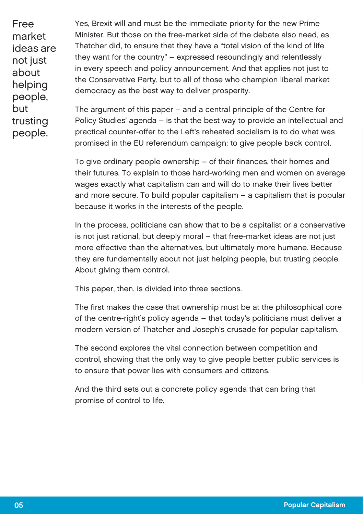Free market ideas are not just about helping people, but trusting people.

Yes, Brexit will and must be the immediate priority for the new Prime Minister. But those on the free-market side of the debate also need, as Thatcher did, to ensure that they have a "total vision of the kind of life they want for the country" – expressed resoundingly and relentlessly in every speech and policy announcement. And that applies not just to the Conservative Party, but to all of those who champion liberal market democracy as the best way to deliver prosperity.

The argument of this paper – and a central principle of the Centre for Policy Studies' agenda – is that the best way to provide an intellectual and practical counter-offer to the Left's reheated socialism is to do what was promised in the EU referendum campaign: to give people back control.

To give ordinary people ownership – of their finances, their homes and their futures. To explain to those hard-working men and women on average wages exactly what capitalism can and will do to make their lives better and more secure. To build popular capitalism – a capitalism that is popular because it works in the interests of the people.

In the process, politicians can show that to be a capitalist or a conservative is not just rational, but deeply moral – that free-market ideas are not just more effective than the alternatives, but ultimately more humane. Because they are fundamentally about not just helping people, but trusting people. About giving them control.

This paper, then, is divided into three sections.

The first makes the case that ownership must be at the philosophical core of the centre-right's policy agenda – that today's politicians must deliver a modern version of Thatcher and Joseph's crusade for popular capitalism.

The second explores the vital connection between competition and control, showing that the only way to give people better public services is to ensure that power lies with consumers and citizens.

And the third sets out a concrete policy agenda that can bring that promise of control to life.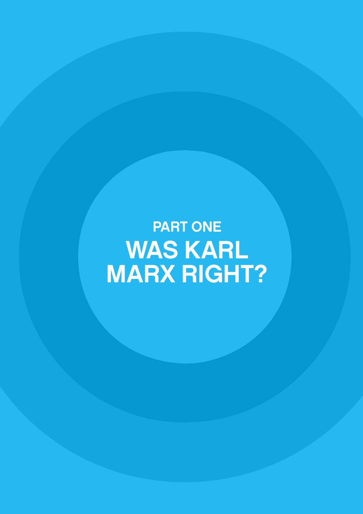PART ONE WAS KARL MARX RIGHT?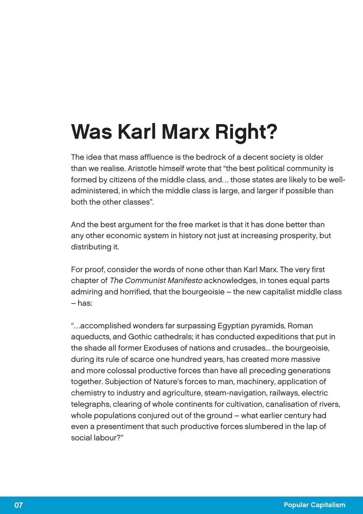## Was Karl Marx Right?

The idea that mass affluence is the bedrock of a decent society is older than we realise. Aristotle himself wrote that "the best political community is formed by citizens of the middle class, and… those states are likely to be welladministered, in which the middle class is large, and larger if possible than both the other classes".

And the best argument for the free market is that it has done better than any other economic system in history not just at increasing prosperity, but distributing it.

For proof, consider the words of none other than Karl Marx. The very first chapter of The Communist Manifesto acknowledges, in tones equal parts admiring and horrified, that the bourgeoisie – the new capitalist middle class – has:

"…accomplished wonders far surpassing Egyptian pyramids, Roman aqueducts, and Gothic cathedrals; it has conducted expeditions that put in the shade all former Exoduses of nations and crusades... the bourgeoisie, during its rule of scarce one hundred years, has created more massive and more colossal productive forces than have all preceding generations together. Subjection of Nature's forces to man, machinery, application of chemistry to industry and agriculture, steam-navigation, railways, electric telegraphs, clearing of whole continents for cultivation, canalisation of rivers. whole populations conjured out of the ground – what earlier century had even a presentiment that such productive forces slumbered in the lap of social labour?"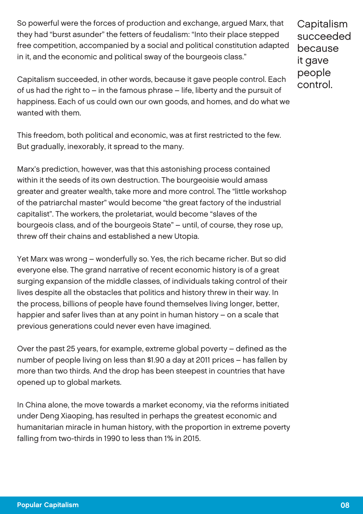So powerful were the forces of production and exchange, argued Marx, that they had "burst asunder" the fetters of feudalism: "Into their place stepped free competition, accompanied by a social and political constitution adapted in it, and the economic and political sway of the bourgeois class."

Capitalism succeeded because it gave people control.

Capitalism succeeded, in other words, because it gave people control. Each of us had the right to – in the famous phrase – life, liberty and the pursuit of happiness. Each of us could own our own goods, and homes, and do what we wanted with them.

This freedom, both political and economic, was at first restricted to the few. But gradually, inexorably, it spread to the many.

Marx's prediction, however, was that this astonishing process contained within it the seeds of its own destruction. The bourgeoisie would amass greater and greater wealth, take more and more control. The "little workshop of the patriarchal master" would become "the great factory of the industrial capitalist". The workers, the proletariat, would become "slaves of the bourgeois class, and of the bourgeois State" – until, of course, they rose up, threw off their chains and established a new Utopia.

Yet Marx was wrong – wonderfully so. Yes, the rich became richer. But so did everyone else. The grand narrative of recent economic history is of a great surging expansion of the middle classes, of individuals taking control of their lives despite all the obstacles that politics and history threw in their way. In the process, billions of people have found themselves living longer, better, happier and safer lives than at any point in human history – on a scale that previous generations could never even have imagined.

Over the past 25 years, for example, extreme global poverty – defined as the number of people living on less than \$1.90 a day at 2011 prices – has fallen by more than two thirds. And the drop has been steepest in countries that have opened up to global markets.

In China alone, the move towards a market economy, via the reforms initiated under Deng Xiaoping, has resulted in perhaps the greatest economic and humanitarian miracle in human history, with the proportion in extreme poverty falling from two-thirds in 1990 to less than 1% in 2015.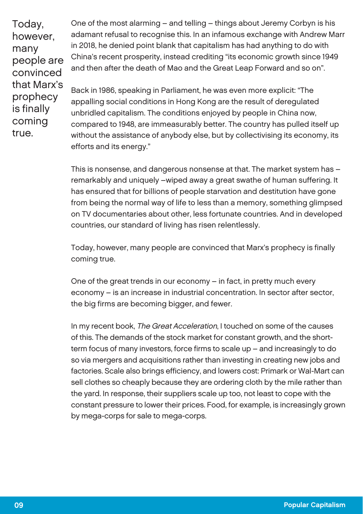Today, however, many people are convinced that Marx's prophecy is finally coming true.

One of the most alarming – and telling – things about Jeremy Corbyn is his adamant refusal to recognise this. In an infamous exchange with Andrew Marr in 2018, he denied point blank that capitalism has had anything to do with China's recent prosperity, instead crediting "its economic growth since 1949 and then after the death of Mao and the Great Leap Forward and so on".

Back in 1986, speaking in Parliament, he was even more explicit: "The appalling social conditions in Hong Kong are the result of deregulated unbridled capitalism. The conditions enjoyed by people in China now, compared to 1948, are immeasurably better. The country has pulled itself up without the assistance of anybody else, but by collectivising its economy, its efforts and its energy."

This is nonsense, and dangerous nonsense at that. The market system has – remarkably and uniquely –wiped away a great swathe of human suffering. It has ensured that for billions of people starvation and destitution have gone from being the normal way of life to less than a memory, something glimpsed on TV documentaries about other, less fortunate countries. And in developed countries, our standard of living has risen relentlessly.

Today, however, many people are convinced that Marx's prophecy is finally coming true.

One of the great trends in our economy – in fact, in pretty much every economy – is an increase in industrial concentration. In sector after sector, the big firms are becoming bigger, and fewer.

In my recent book, The Great Acceleration, I touched on some of the causes of this. The demands of the stock market for constant growth, and the shortterm focus of many investors, force firms to scale up – and increasingly to do so via mergers and acquisitions rather than investing in creating new jobs and factories. Scale also brings efficiency, and lowers cost: Primark or Wal-Mart can sell clothes so cheaply because they are ordering cloth by the mile rather than the yard. In response, their suppliers scale up too, not least to cope with the constant pressure to lower their prices. Food, for example, is increasingly grown by mega-corps for sale to mega-corps.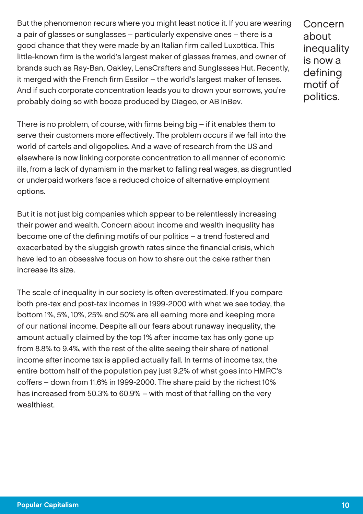But the phenomenon recurs where you might least notice it. If you are wearing a pair of glasses or sunglasses – particularly expensive ones – there is a good chance that they were made by an Italian firm called Luxottica. This little-known firm is the world's largest maker of glasses frames, and owner of brands such as Ray-Ban, Oakley, LensCrafters and Sunglasses Hut. Recently, it merged with the French firm Essilor – the world's largest maker of lenses. And if such corporate concentration leads you to drown your sorrows, you're probably doing so with booze produced by Diageo, or AB InBev.

Concern about inequality is now a defining motif of politics.

There is no problem, of course, with firms being big – if it enables them to serve their customers more effectively. The problem occurs if we fall into the world of cartels and oligopolies. And a wave of research from the US and elsewhere is now linking corporate concentration to all manner of economic ills, from a lack of dynamism in the market to falling real wages, as disgruntled or underpaid workers face a reduced choice of alternative employment options.

But it is not just big companies which appear to be relentlessly increasing their power and wealth. Concern about income and wealth inequality has become one of the defining motifs of our politics – a trend fostered and exacerbated by the sluggish growth rates since the financial crisis, which have led to an obsessive focus on how to share out the cake rather than increase its size.

The scale of inequality in our society is often overestimated. If you compare both pre-tax and post-tax incomes in 1999-2000 with what we see today, the bottom 1%, 5%, 10%, 25% and 50% are all earning more and keeping more of our national income. Despite all our fears about runaway inequality, the amount actually claimed by the top 1% after income tax has only gone up from 8.8% to 9.4%, with the rest of the elite seeing their share of national income after income tax is applied actually fall. In terms of income tax, the entire bottom half of the population pay just 9.2% of what goes into HMRC's coffers – down from 11.6% in 1999-2000. The share paid by the richest 10% has increased from 50.3% to 60.9% – with most of that falling on the very wealthiest.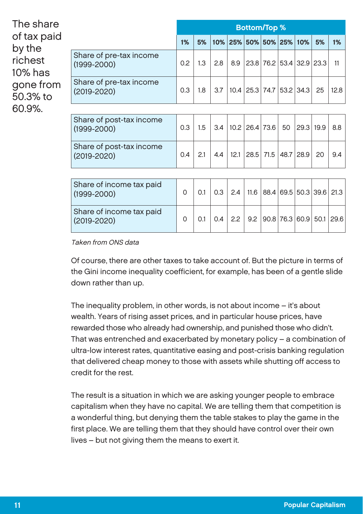| The share<br>of tax paid<br>by the<br>richest<br>10% has<br>gone from<br>50.3% to<br>60.9%. |                                             | <b>Bottom/Top %</b> |     |     |      |                                  |           |      |                     |    |      |
|---------------------------------------------------------------------------------------------|---------------------------------------------|---------------------|-----|-----|------|----------------------------------|-----------|------|---------------------|----|------|
|                                                                                             |                                             | 1%                  | 5%  |     |      | 10% 25% 50% 50% 25%              |           |      | 10%                 | 5% | 1%   |
|                                                                                             | Share of pre-tax income<br>$(1999 - 2000)$  | 0.2                 | 1.3 | 2.8 | 8.9  | 23.8   76.2   53.4   32.9   23.3 |           |      |                     |    | 11   |
|                                                                                             | Share of pre-tax income<br>$(2019 - 2020)$  | 0.3                 | 1.8 | 3.7 |      | 10.4 25.3 74.7 53.2 34.3         |           |      |                     | 25 | 12.8 |
|                                                                                             |                                             |                     |     |     |      |                                  |           |      |                     |    |      |
|                                                                                             | Share of post-tax income<br>$(1999 - 2000)$ | 0.3                 | 1.5 | 3.4 |      | 10.2 26.4 73.6                   |           | 50   | 29.3 19.9           |    | 8.8  |
|                                                                                             | Share of post-tax income<br>$(2019 - 2020)$ | 0.4                 | 2.1 | 4.4 | 12.1 |                                  | 28.5 71.5 | 48.7 | 28.9                | 20 | 9.4  |
|                                                                                             |                                             |                     |     |     |      |                                  |           |      |                     |    |      |
|                                                                                             | Share of income tax paid<br>$(1999 - 2000)$ | 0                   | 0.1 | 0.3 | 2.4  | 11.6                             |           |      | 88.4 69.5 50.3 39.6 |    | 21.3 |

Taken from ONS data

Share of income tax paid

Of course, there are other taxes to take account of. But the picture in terms of the Gini income inequality coefficient, for example, has been of a gentle slide down rather than up.

 $(2019-2020)$  0 0.1 0.4 2.2 9.2 90.8 76.3 60.9 50.1 29.6

The inequality problem, in other words, is not about income – it's about wealth. Years of rising asset prices, and in particular house prices, have rewarded those who already had ownership, and punished those who didn't. That was entrenched and exacerbated by monetary policy – a combination of ultra-low interest rates, quantitative easing and post-crisis banking regulation that delivered cheap money to those with assets while shutting off access to credit for the rest.

The result is a situation in which we are asking younger people to embrace capitalism when they have no capital. We are telling them that competition is a wonderful thing, but denying them the table stakes to play the game in the first place. We are telling them that they should have control over their own lives – but not giving them the means to exert it.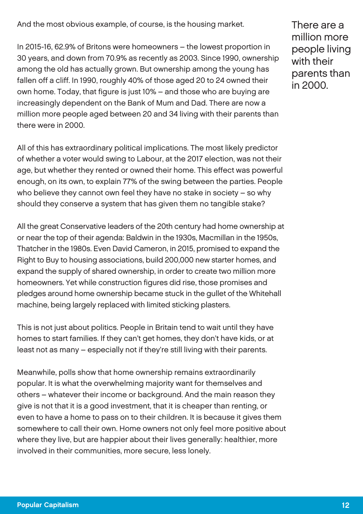And the most obvious example, of course, is the housing market.

In 2015-16, 62.9% of Britons were homeowners – the lowest proportion in 30 years, and down from 70.9% as recently as 2003. Since 1990, ownership among the old has actually grown. But ownership among the young has fallen off a cliff. In 1990, roughly 40% of those aged 20 to 24 owned their own home. Today, that figure is just 10% – and those who are buying are increasingly dependent on the Bank of Mum and Dad. There are now a million more people aged between 20 and 34 living with their parents than there were in 2000.

All of this has extraordinary political implications. The most likely predictor of whether a voter would swing to Labour, at the 2017 election, was not their age, but whether they rented or owned their home. This effect was powerful enough, on its own, to explain 77% of the swing between the parties. People who believe they cannot own feel they have no stake in society – so why should they conserve a system that has given them no tangible stake?

All the great Conservative leaders of the 20th century had home ownership at or near the top of their agenda: Baldwin in the 1930s, Macmillan in the 1950s, Thatcher in the 1980s. Even David Cameron, in 2015, promised to expand the Right to Buy to housing associations, build 200,000 new starter homes, and expand the supply of shared ownership, in order to create two million more homeowners. Yet while construction figures did rise, those promises and pledges around home ownership became stuck in the gullet of the Whitehall machine, being largely replaced with limited sticking plasters.

This is not just about politics. People in Britain tend to wait until they have homes to start families. If they can't get homes, they don't have kids, or at least not as many – especially not if they're still living with their parents.

Meanwhile, polls show that home ownership remains extraordinarily popular. It is what the overwhelming majority want for themselves and others – whatever their income or background. And the main reason they give is not that it is a good investment, that it is cheaper than renting, or even to have a home to pass on to their children. It is because it gives them somewhere to call their own. Home owners not only feel more positive about where they live, but are happier about their lives generally: healthier, more involved in their communities, more secure, less lonely.

There are a million more people living with their parents than in 2000.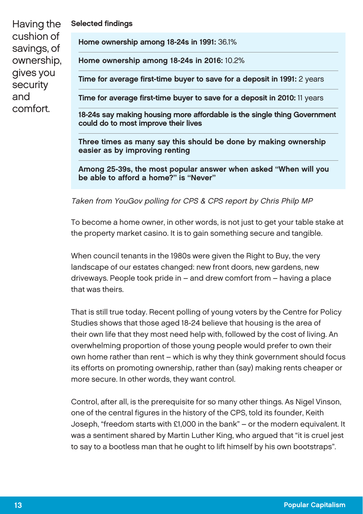| Having the<br>cushion of<br>savings, of<br>ownership,<br>gives you<br>security<br>and<br>comfort. | <b>Selected findings</b>                                                                                         |  |  |  |  |
|---------------------------------------------------------------------------------------------------|------------------------------------------------------------------------------------------------------------------|--|--|--|--|
|                                                                                                   | Home ownership among 18-24s in 1991: 36.1%                                                                       |  |  |  |  |
|                                                                                                   | Home ownership among 18-24s in 2016: 10.2%                                                                       |  |  |  |  |
|                                                                                                   | Time for average first-time buyer to save for a deposit in 1991: 2 years                                         |  |  |  |  |
|                                                                                                   | Time for average first-time buyer to save for a deposit in 2010: 11 years                                        |  |  |  |  |
|                                                                                                   | 18-24s say making housing more affordable is the single thing Government<br>could do to most improve their lives |  |  |  |  |

Three times as many say this should be done by making ownership easier as by improving renting

Among 25-39s, the most popular answer when asked "When will you be able to afford a home?" is "Never"

#### Taken from YouGov polling for CPS & CPS report by Chris Philp MP

To become a home owner, in other words, is not just to get your table stake at the property market casino. It is to gain something secure and tangible.

When council tenants in the 1980s were given the Right to Buy, the very landscape of our estates changed: new front doors, new gardens, new driveways. People took pride in – and drew comfort from – having a place that was theirs.

That is still true today. Recent polling of young voters by the Centre for Policy Studies shows that those aged 18-24 believe that housing is the area of their own life that they most need help with, followed by the cost of living. An overwhelming proportion of those young people would prefer to own their own home rather than rent – which is why they think government should focus its efforts on promoting ownership, rather than (say) making rents cheaper or more secure. In other words, they want control.

Control, after all, is the prerequisite for so many other things. As Nigel Vinson, one of the central figures in the history of the CPS, told its founder, Keith Joseph, "freedom starts with £1,000 in the bank" – or the modern equivalent. It was a sentiment shared by Martin Luther King, who argued that "it is cruel jest to say to a bootless man that he ought to lift himself by his own bootstraps".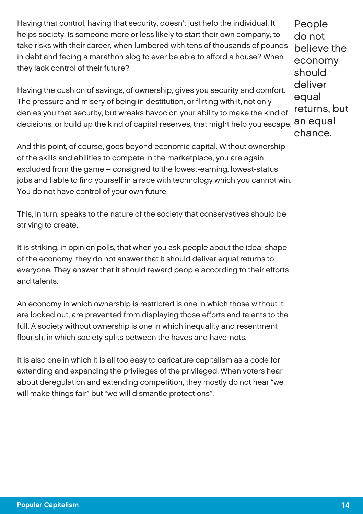Having that control, having that security, doesn't just help the individual. It helps society. Is someone more or less likely to start their own company, to take risks with their career, when lumbered with tens of thousands of pounds in debt and facing a marathon slog to ever be able to afford a house? When they lack control of their future?

Having the cushion of savings, of ownership, gives you security and comfort. The pressure and misery of being in destitution, or flirting with it, not only denies you that security, but wreaks havoc on your ability to make the kind of decisions, or build up the kind of capital reserves, that might help you escape.

And this point, of course, goes beyond economic capital. Without ownership of the skills and abilities to compete in the marketplace, you are again excluded from the game – consigned to the lowest-earning, lowest-status jobs and liable to find yourself in a race with technology which you cannot win. You do not have control of your own future.

This, in turn, speaks to the nature of the society that conservatives should be striving to create.

It is striking, in opinion polls, that when you ask people about the ideal shape of the economy, they do not answer that it should deliver equal returns to everyone. They answer that it should reward people according to their efforts and talents.

An economy in which ownership is restricted is one in which those without it are locked out, are prevented from displaying those efforts and talents to the full. A society without ownership is one in which inequality and resentment flourish, in which society splits between the haves and have-nots.

It is also one in which it is all too easy to caricature capitalism as a code for extending and expanding the privileges of the privileged. When voters hear about deregulation and extending competition, they mostly do not hear "we will make things fair" but "we will dismantle protections".

People do not believe the economy should deliver equal returns, but an equal chance.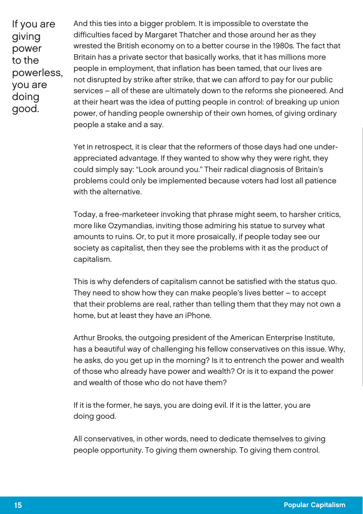If you are giving power to the powerless, you are doing good.

And this ties into a bigger problem. It is impossible to overstate the difficulties faced by Margaret Thatcher and those around her as they wrested the British economy on to a better course in the 1980s. The fact that Britain has a private sector that basically works, that it has millions more people in employment, that inflation has been tamed, that our lives are not disrupted by strike after strike, that we can afford to pay for our public services – all of these are ultimately down to the reforms she pioneered. And at their heart was the idea of putting people in control: of breaking up union power, of handing people ownership of their own homes, of giving ordinary people a stake and a say.

Yet in retrospect, it is clear that the reformers of those days had one underappreciated advantage. If they wanted to show why they were right, they could simply say: "Look around you." Their radical diagnosis of Britain's problems could only be implemented because voters had lost all patience with the alternative.

Today, a free-marketeer invoking that phrase might seem, to harsher critics, more like Ozymandias, inviting those admiring his statue to survey what amounts to ruins. Or, to put it more prosaically, if people today see our society as capitalist, then they see the problems with it as the product of capitalism.

This is why defenders of capitalism cannot be satisfied with the status quo. They need to show how they can make people's lives better – to accept that their problems are real, rather than telling them that they may not own a home, but at least they have an iPhone.

Arthur Brooks, the outgoing president of the American Enterprise Institute, has a beautiful way of challenging his fellow conservatives on this issue. Why, he asks, do you get up in the morning? Is it to entrench the power and wealth of those who already have power and wealth? Or is it to expand the power and wealth of those who do not have them?

If it is the former, he says, you are doing evil. If it is the latter, you are doing good.

All conservatives, in other words, need to dedicate themselves to giving people opportunity. To giving them ownership. To giving them control.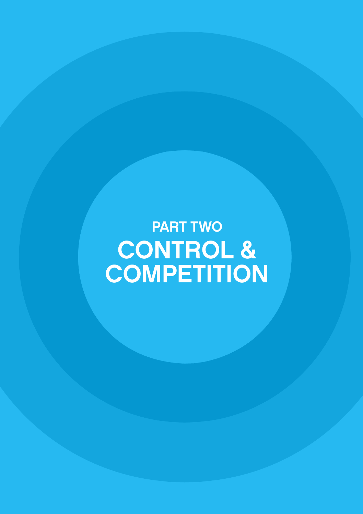PART TWO CONTROL & **COMPETITION**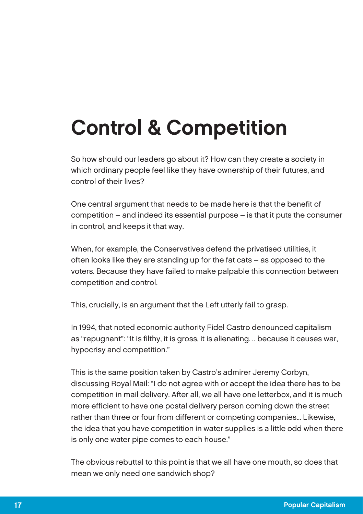## Control & Competition

So how should our leaders go about it? How can they create a society in which ordinary people feel like they have ownership of their futures, and control of their lives?

One central argument that needs to be made here is that the benefit of competition – and indeed its essential purpose – is that it puts the consumer in control, and keeps it that way.

When, for example, the Conservatives defend the privatised utilities, it often looks like they are standing up for the fat cats – as opposed to the voters. Because they have failed to make palpable this connection between competition and control.

This, crucially, is an argument that the Left utterly fail to grasp.

In 1994, that noted economic authority Fidel Castro denounced capitalism as "repugnant": "It is filthy, it is gross, it is alienating… because it causes war, hypocrisy and competition."

This is the same position taken by Castro's admirer Jeremy Corbyn, discussing Royal Mail: "I do not agree with or accept the idea there has to be competition in mail delivery. After all, we all have one letterbox, and it is much more efficient to have one postal delivery person coming down the street rather than three or four from different or competing companies... Likewise, the idea that you have competition in water supplies is a little odd when there is only one water pipe comes to each house."

The obvious rebuttal to this point is that we all have one mouth, so does that mean we only need one sandwich shop?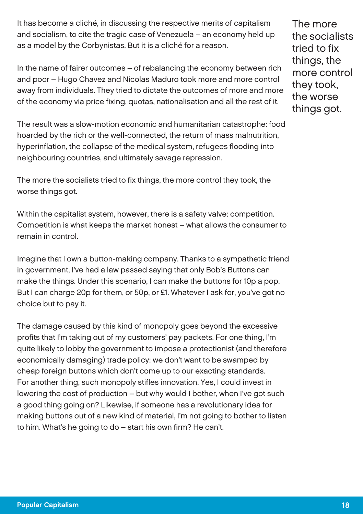It has become a cliché, in discussing the respective merits of capitalism and socialism, to cite the tragic case of Venezuela – an economy held up as a model by the Corbynistas. But it is a cliché for a reason.

In the name of fairer outcomes – of rebalancing the economy between rich and poor – Hugo Chavez and Nicolas Maduro took more and more control away from individuals. They tried to dictate the outcomes of more and more of the economy via price fixing, quotas, nationalisation and all the rest of it.

The result was a slow-motion economic and humanitarian catastrophe: food hoarded by the rich or the well-connected, the return of mass malnutrition, hyperinflation, the collapse of the medical system, refugees flooding into neighbouring countries, and ultimately savage repression.

The more the socialists tried to fix things, the more control they took, the worse things got.

Within the capitalist system, however, there is a safety valve: competition. Competition is what keeps the market honest – what allows the consumer to remain in control.

Imagine that I own a button-making company. Thanks to a sympathetic friend in government, I've had a law passed saying that only Bob's Buttons can make the things. Under this scenario, I can make the buttons for 10p a pop. But I can charge 20p for them, or 50p, or £1. Whatever I ask for, you've got no choice but to pay it.

The damage caused by this kind of monopoly goes beyond the excessive profits that I'm taking out of my customers' pay packets. For one thing, I'm quite likely to lobby the government to impose a protectionist (and therefore economically damaging) trade policy: we don't want to be swamped by cheap foreign buttons which don't come up to our exacting standards. For another thing, such monopoly stifles innovation. Yes, I could invest in lowering the cost of production – but why would I bother, when I've got such a good thing going on? Likewise, if someone has a revolutionary idea for making buttons out of a new kind of material, I'm not going to bother to listen to him. What's he going to do – start his own firm? He can't.

The more the socialists tried to fix things, the more control they took, the worse things got.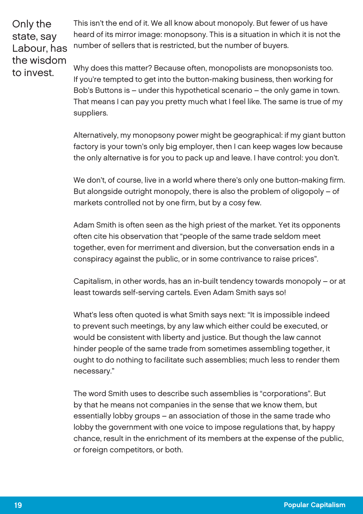Only the state, say Labour, has the wisdom to invest.

This isn't the end of it. We all know about monopoly. But fewer of us have heard of its mirror image: monopsony. This is a situation in which it is not the number of sellers that is restricted, but the number of buyers.

Why does this matter? Because often, monopolists are monopsonists too. If you're tempted to get into the button-making business, then working for Bob's Buttons is – under this hypothetical scenario – the only game in town. That means I can pay you pretty much what I feel like. The same is true of my suppliers.

Alternatively, my monopsony power might be geographical: if my giant button factory is your town's only big employer, then I can keep wages low because the only alternative is for you to pack up and leave. I have control: you don't.

We don't, of course, live in a world where there's only one button-making firm. But alongside outright monopoly, there is also the problem of oligopoly – of markets controlled not by one firm, but by a cosy few.

Adam Smith is often seen as the high priest of the market. Yet its opponents often cite his observation that "people of the same trade seldom meet together, even for merriment and diversion, but the conversation ends in a conspiracy against the public, or in some contrivance to raise prices".

Capitalism, in other words, has an in-built tendency towards monopoly – or at least towards self-serving cartels. Even Adam Smith says so!

What's less often quoted is what Smith says next: "It is impossible indeed to prevent such meetings, by any law which either could be executed, or would be consistent with liberty and justice. But though the law cannot hinder people of the same trade from sometimes assembling together, it ought to do nothing to facilitate such assemblies; much less to render them necessary."

The word Smith uses to describe such assemblies is "corporations". But by that he means not companies in the sense that we know them, but essentially lobby groups – an association of those in the same trade who lobby the government with one voice to impose regulations that, by happy chance, result in the enrichment of its members at the expense of the public, or foreign competitors, or both.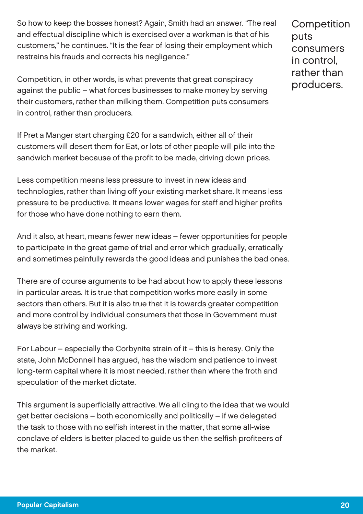So how to keep the bosses honest? Again, Smith had an answer. "The real and effectual discipline which is exercised over a workman is that of his customers," he continues. "It is the fear of losing their employment which restrains his frauds and corrects his negligence."

Competition, in other words, is what prevents that great conspiracy against the public – what forces businesses to make money by serving their customers, rather than milking them. Competition puts consumers in control, rather than producers.

If Pret a Manger start charging £20 for a sandwich, either all of their customers will desert them for Eat, or lots of other people will pile into the sandwich market because of the profit to be made, driving down prices.

Less competition means less pressure to invest in new ideas and technologies, rather than living off your existing market share. It means less pressure to be productive. It means lower wages for staff and higher profits for those who have done nothing to earn them.

And it also, at heart, means fewer new ideas – fewer opportunities for people to participate in the great game of trial and error which gradually, erratically and sometimes painfully rewards the good ideas and punishes the bad ones.

There are of course arguments to be had about how to apply these lessons in particular areas. It is true that competition works more easily in some sectors than others. But it is also true that it is towards greater competition and more control by individual consumers that those in Government must always be striving and working.

For Labour – especially the Corbynite strain of it – this is heresy. Only the state, John McDonnell has argued, has the wisdom and patience to invest long-term capital where it is most needed, rather than where the froth and speculation of the market dictate.

This argument is superficially attractive. We all cling to the idea that we would get better decisions – both economically and politically – if we delegated the task to those with no selfish interest in the matter, that some all-wise conclave of elders is better placed to guide us then the selfish profiteers of the market.

**Competition** puts consumers in control, rather than producers.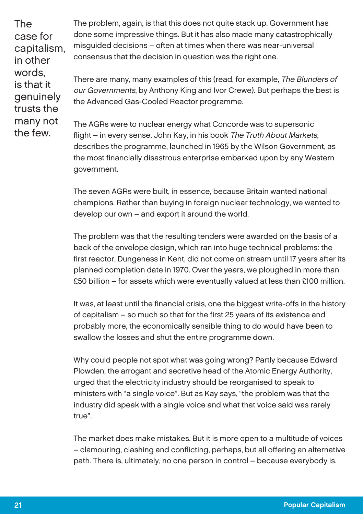The case for capitalism, in other words, is that it genuinely trusts the many not the few.

The problem, again, is that this does not quite stack up. Government has done some impressive things. But it has also made many catastrophically misguided decisions – often at times when there was near-universal consensus that the decision in question was the right one.

There are many, many examples of this (read, for example, The Blunders of our Governments, by Anthony King and Ivor Crewe). But perhaps the best is the Advanced Gas-Cooled Reactor programme.

The AGRs were to nuclear energy what Concorde was to supersonic flight – in every sense. John Kay, in his book The Truth About Markets, describes the programme, launched in 1965 by the Wilson Government, as the most financially disastrous enterprise embarked upon by any Western government.

The seven AGRs were built, in essence, because Britain wanted national champions. Rather than buying in foreign nuclear technology, we wanted to develop our own – and export it around the world.

The problem was that the resulting tenders were awarded on the basis of a back of the envelope design, which ran into huge technical problems: the first reactor, Dungeness in Kent, did not come on stream until 17 years after its planned completion date in 1970. Over the years, we ploughed in more than £50 billion – for assets which were eventually valued at less than £100 million.

It was, at least until the financial crisis, one the biggest write-offs in the history of capitalism – so much so that for the first 25 years of its existence and probably more, the economically sensible thing to do would have been to swallow the losses and shut the entire programme down.

Why could people not spot what was going wrong? Partly because Edward Plowden, the arrogant and secretive head of the Atomic Energy Authority, urged that the electricity industry should be reorganised to speak to ministers with "a single voice". But as Kay says, "the problem was that the industry did speak with a single voice and what that voice said was rarely true".

The market does make mistakes. But it is more open to a multitude of voices – clamouring, clashing and conflicting, perhaps, but all offering an alternative path. There is, ultimately, no one person in control – because everybody is.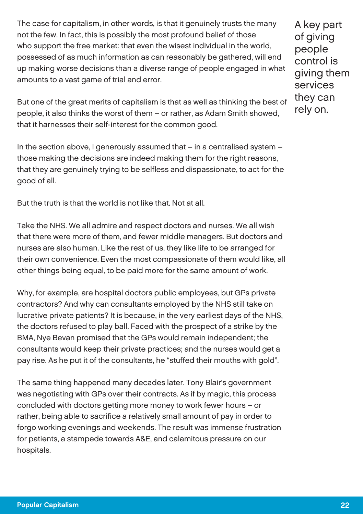The case for capitalism, in other words, is that it genuinely trusts the many not the few. In fact, this is possibly the most profound belief of those who support the free market: that even the wisest individual in the world, possessed of as much information as can reasonably be gathered, will end up making worse decisions than a diverse range of people engaged in what amounts to a vast game of trial and error.

A key part of giving people control is giving them services they can rely on.

But one of the great merits of capitalism is that as well as thinking the best of people, it also thinks the worst of them – or rather, as Adam Smith showed, that it harnesses their self-interest for the common good.

In the section above, I generously assumed that – in a centralised system – those making the decisions are indeed making them for the right reasons, that they are genuinely trying to be selfless and dispassionate, to act for the good of all.

But the truth is that the world is not like that. Not at all.

Take the NHS. We all admire and respect doctors and nurses. We all wish that there were more of them, and fewer middle managers. But doctors and nurses are also human. Like the rest of us, they like life to be arranged for their own convenience. Even the most compassionate of them would like, all other things being equal, to be paid more for the same amount of work.

Why, for example, are hospital doctors public employees, but GPs private contractors? And why can consultants employed by the NHS still take on lucrative private patients? It is because, in the very earliest days of the NHS, the doctors refused to play ball. Faced with the prospect of a strike by the BMA, Nye Bevan promised that the GPs would remain independent; the consultants would keep their private practices; and the nurses would get a pay rise. As he put it of the consultants, he "stuffed their mouths with gold".

The same thing happened many decades later. Tony Blair's government was negotiating with GPs over their contracts. As if by magic, this process concluded with doctors getting more money to work fewer hours – or rather, being able to sacrifice a relatively small amount of pay in order to forgo working evenings and weekends. The result was immense frustration for patients, a stampede towards A&E, and calamitous pressure on our hospitals.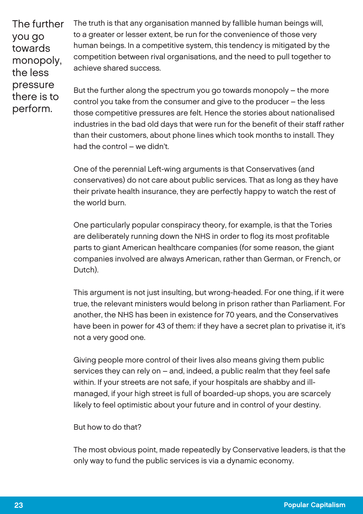The further you go towards monopoly, the less pressure there is to perform.

The truth is that any organisation manned by fallible human beings will, to a greater or lesser extent, be run for the convenience of those very human beings. In a competitive system, this tendency is mitigated by the competition between rival organisations, and the need to pull together to achieve shared success.

But the further along the spectrum you go towards monopoly – the more control you take from the consumer and give to the producer – the less those competitive pressures are felt. Hence the stories about nationalised industries in the bad old days that were run for the benefit of their staff rather than their customers, about phone lines which took months to install. They had the control – we didn't.

One of the perennial Left-wing arguments is that Conservatives (and conservatives) do not care about public services. That as long as they have their private health insurance, they are perfectly happy to watch the rest of the world burn.

One particularly popular conspiracy theory, for example, is that the Tories are deliberately running down the NHS in order to flog its most profitable parts to giant American healthcare companies (for some reason, the giant companies involved are always American, rather than German, or French, or Dutch).

This argument is not just insulting, but wrong-headed. For one thing, if it were true, the relevant ministers would belong in prison rather than Parliament. For another, the NHS has been in existence for 70 years, and the Conservatives have been in power for 43 of them: if they have a secret plan to privatise it, it's not a very good one.

Giving people more control of their lives also means giving them public services they can rely on – and, indeed, a public realm that they feel safe within. If your streets are not safe, if your hospitals are shabby and illmanaged, if your high street is full of boarded-up shops, you are scarcely likely to feel optimistic about your future and in control of your destiny.

But how to do that?

The most obvious point, made repeatedly by Conservative leaders, is that the only way to fund the public services is via a dynamic economy.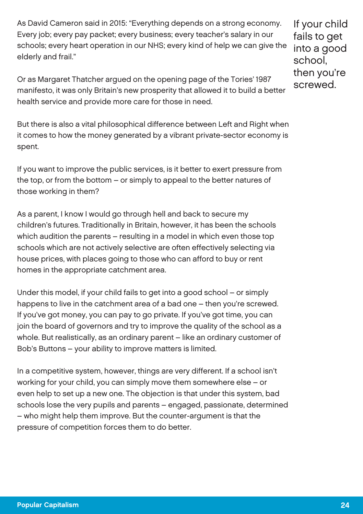As David Cameron said in 2015: "Everything depends on a strong economy. Every job; every pay packet; every business; every teacher's salary in our schools; every heart operation in our NHS; every kind of help we can give the elderly and frail."

If your child fails to get into a good school, then you're screwed.

Or as Margaret Thatcher argued on the opening page of the Tories' 1987 manifesto, it was only Britain's new prosperity that allowed it to build a better health service and provide more care for those in need.

But there is also a vital philosophical difference between Left and Right when it comes to how the money generated by a vibrant private-sector economy is spent.

If you want to improve the public services, is it better to exert pressure from the top, or from the bottom – or simply to appeal to the better natures of those working in them?

As a parent, I know I would go through hell and back to secure my children's futures. Traditionally in Britain, however, it has been the schools which audition the parents – resulting in a model in which even those top schools which are not actively selective are often effectively selecting via house prices, with places going to those who can afford to buy or rent homes in the appropriate catchment area.

Under this model, if your child fails to get into a good school – or simply happens to live in the catchment area of a bad one – then you're screwed. If you've got money, you can pay to go private. If you've got time, you can join the board of governors and try to improve the quality of the school as a whole. But realistically, as an ordinary parent – like an ordinary customer of Bob's Buttons – your ability to improve matters is limited.

In a competitive system, however, things are very different. If a school isn't working for your child, you can simply move them somewhere else – or even help to set up a new one. The objection is that under this system, bad schools lose the very pupils and parents – engaged, passionate, determined – who might help them improve. But the counter-argument is that the pressure of competition forces them to do better.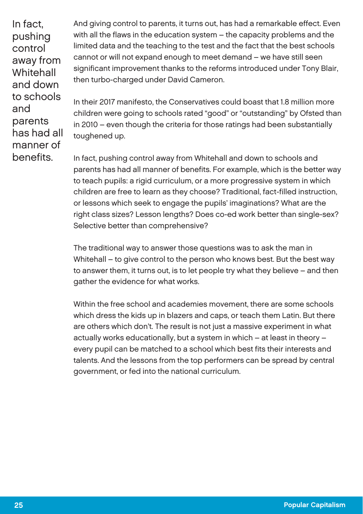In fact, pushing control away from **Whitehall** and down to schools and parents has had all manner of benefits.

And giving control to parents, it turns out, has had a remarkable effect. Even with all the flaws in the education system – the capacity problems and the limited data and the teaching to the test and the fact that the best schools cannot or will not expand enough to meet demand – we have still seen significant improvement thanks to the reforms introduced under Tony Blair, then turbo-charged under David Cameron.

In their 2017 manifesto, the Conservatives could boast that 1.8 million more children were going to schools rated "good" or "outstanding" by Ofsted than in 2010 – even though the criteria for those ratings had been substantially toughened up.

In fact, pushing control away from Whitehall and down to schools and parents has had all manner of benefits. For example, which is the better way to teach pupils: a rigid curriculum, or a more progressive system in which children are free to learn as they choose? Traditional, fact-filled instruction, or lessons which seek to engage the pupils' imaginations? What are the right class sizes? Lesson lengths? Does co-ed work better than single-sex? Selective better than comprehensive?

The traditional way to answer those questions was to ask the man in Whitehall – to give control to the person who knows best. But the best way to answer them, it turns out, is to let people try what they believe – and then gather the evidence for what works.

Within the free school and academies movement, there are some schools which dress the kids up in blazers and caps, or teach them Latin. But there are others which don't. The result is not just a massive experiment in what actually works educationally, but a system in which – at least in theory – every pupil can be matched to a school which best fits their interests and talents. And the lessons from the top performers can be spread by central government, or fed into the national curriculum.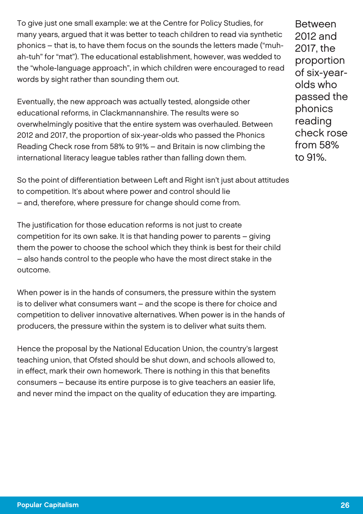To give just one small example: we at the Centre for Policy Studies, for many years, argued that it was better to teach children to read via synthetic phonics – that is, to have them focus on the sounds the letters made ("muhah-tuh" for "mat"). The educational establishment, however, was wedded to the "whole-language approach", in which children were encouraged to read words by sight rather than sounding them out.

Eventually, the new approach was actually tested, alongside other educational reforms, in Clackmannanshire. The results were so overwhelmingly positive that the entire system was overhauled. Between 2012 and 2017, the proportion of six-year-olds who passed the Phonics Reading Check rose from 58% to 91% – and Britain is now climbing the international literacy league tables rather than falling down them.

Between 2012 and 2017, the proportion of six-yearolds who passed the phonics reading check rose from 58% to 91%.

So the point of differentiation between Left and Right isn't just about attitudes to competition. It's about where power and control should lie – and, therefore, where pressure for change should come from.

The justification for those education reforms is not just to create competition for its own sake. It is that handing power to parents – giving them the power to choose the school which they think is best for their child – also hands control to the people who have the most direct stake in the outcome.

When power is in the hands of consumers, the pressure within the system is to deliver what consumers want – and the scope is there for choice and competition to deliver innovative alternatives. When power is in the hands of producers, the pressure within the system is to deliver what suits them.

Hence the proposal by the National Education Union, the country's largest teaching union, that Ofsted should be shut down, and schools allowed to, in effect, mark their own homework. There is nothing in this that benefits consumers – because its entire purpose is to give teachers an easier life, and never mind the impact on the quality of education they are imparting.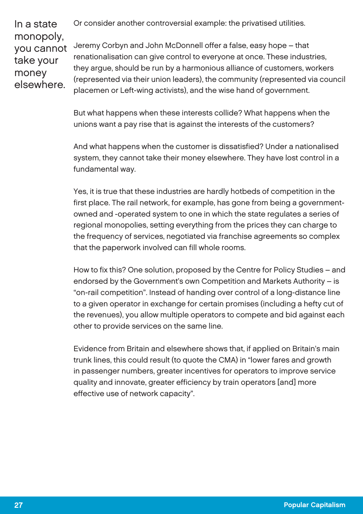Or consider another controversial example: the privatised utilities.

In a state monopoly, you cannot take your money elsewhere.

Jeremy Corbyn and John McDonnell offer a false, easy hope – that renationalisation can give control to everyone at once. These industries, they argue, should be run by a harmonious alliance of customers, workers (represented via their union leaders), the community (represented via council placemen or Left-wing activists), and the wise hand of government.

But what happens when these interests collide? What happens when the unions want a pay rise that is against the interests of the customers?

And what happens when the customer is dissatisfied? Under a nationalised system, they cannot take their money elsewhere. They have lost control in a fundamental way.

Yes, it is true that these industries are hardly hotbeds of competition in the first place. The rail network, for example, has gone from being a governmentowned and -operated system to one in which the state regulates a series of regional monopolies, setting everything from the prices they can charge to the frequency of services, negotiated via franchise agreements so complex that the paperwork involved can fill whole rooms.

How to fix this? One solution, proposed by the Centre for Policy Studies – and endorsed by the Government's own Competition and Markets Authority – is "on-rail competition". Instead of handing over control of a long-distance line to a given operator in exchange for certain promises (including a hefty cut of the revenues), you allow multiple operators to compete and bid against each other to provide services on the same line.

Evidence from Britain and elsewhere shows that, if applied on Britain's main trunk lines, this could result (to quote the CMA) in "lower fares and growth in passenger numbers, greater incentives for operators to improve service quality and innovate, greater efficiency by train operators [and] more effective use of network capacity".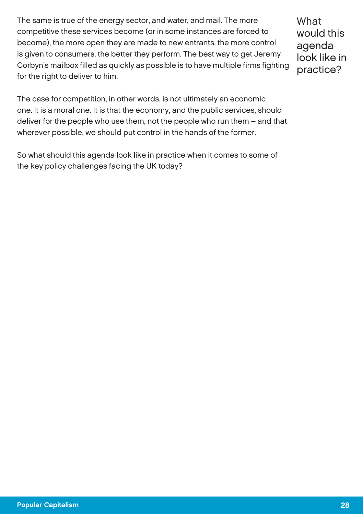The same is true of the energy sector, and water, and mail. The more competitive these services become (or in some instances are forced to become), the more open they are made to new entrants, the more control is given to consumers, the better they perform. The best way to get Jeremy Corbyn's mailbox filled as quickly as possible is to have multiple firms fighting for the right to deliver to him.

**What** would this agenda look like in practice?

The case for competition, in other words, is not ultimately an economic one. It is a moral one. It is that the economy, and the public services, should deliver for the people who use them, not the people who run them – and that wherever possible, we should put control in the hands of the former.

So what should this agenda look like in practice when it comes to some of the key policy challenges facing the UK today?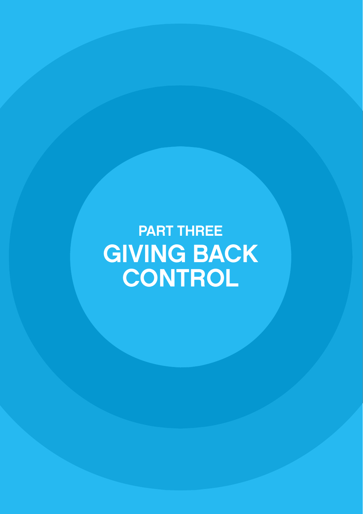PART THREE GIVING BACK **CONTROL**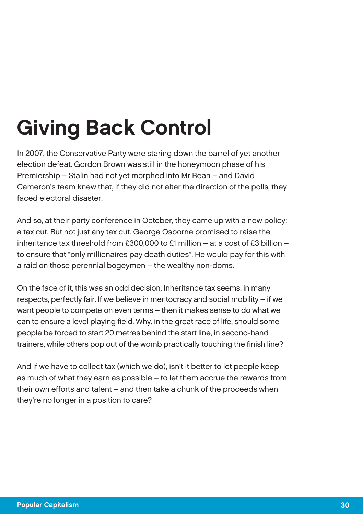## Giving Back Control

In 2007, the Conservative Party were staring down the barrel of yet another election defeat. Gordon Brown was still in the honeymoon phase of his Premiership – Stalin had not yet morphed into Mr Bean – and David Cameron's team knew that, if they did not alter the direction of the polls, they faced electoral disaster.

And so, at their party conference in October, they came up with a new policy: a tax cut. But not just any tax cut. George Osborne promised to raise the inheritance tax threshold from £300,000 to £1 million – at a cost of £3 billion – to ensure that "only millionaires pay death duties". He would pay for this with a raid on those perennial bogeymen – the wealthy non-doms.

On the face of it, this was an odd decision. Inheritance tax seems, in many respects, perfectly fair. If we believe in meritocracy and social mobility – if we want people to compete on even terms – then it makes sense to do what we can to ensure a level playing field. Why, in the great race of life, should some people be forced to start 20 metres behind the start line, in second-hand trainers, while others pop out of the womb practically touching the finish line?

And if we have to collect tax (which we do), isn't it better to let people keep as much of what they earn as possible – to let them accrue the rewards from their own efforts and talent – and then take a chunk of the proceeds when they're no longer in a position to care?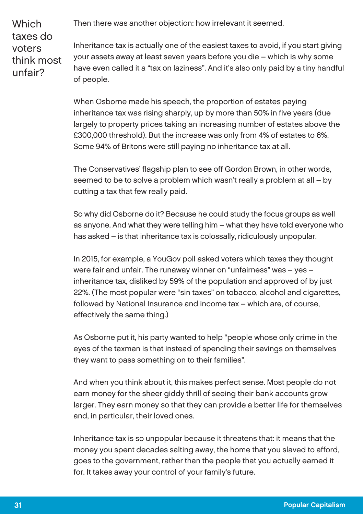Then there was another objection: how irrelevant it seemed.

**Which** taxes do voters think most unfair?

Inheritance tax is actually one of the easiest taxes to avoid, if you start giving your assets away at least seven years before you die – which is why some have even called it a "tax on laziness". And it's also only paid by a tiny handful of people.

When Osborne made his speech, the proportion of estates paying inheritance tax was rising sharply, up by more than 50% in five years (due largely to property prices taking an increasing number of estates above the £300,000 threshold). But the increase was only from 4% of estates to 6%. Some 94% of Britons were still paying no inheritance tax at all.

The Conservatives' flagship plan to see off Gordon Brown, in other words, seemed to be to solve a problem which wasn't really a problem at all – by cutting a tax that few really paid.

So why did Osborne do it? Because he could study the focus groups as well as anyone. And what they were telling him – what they have told everyone who has asked – is that inheritance tax is colossally, ridiculously unpopular.

In 2015, for example, a YouGov poll asked voters which taxes they thought were fair and unfair. The runaway winner on "unfairness" was – yes – inheritance tax, disliked by 59% of the population and approved of by just 22%. (The most popular were "sin taxes" on tobacco, alcohol and cigarettes, followed by National Insurance and income tax – which are, of course, effectively the same thing.)

As Osborne put it, his party wanted to help "people whose only crime in the eyes of the taxman is that instead of spending their savings on themselves they want to pass something on to their families".

And when you think about it, this makes perfect sense. Most people do not earn money for the sheer giddy thrill of seeing their bank accounts grow larger. They earn money so that they can provide a better life for themselves and, in particular, their loved ones.

Inheritance tax is so unpopular because it threatens that: it means that the money you spent decades salting away, the home that you slaved to afford, goes to the government, rather than the people that you actually earned it for. It takes away your control of your family's future.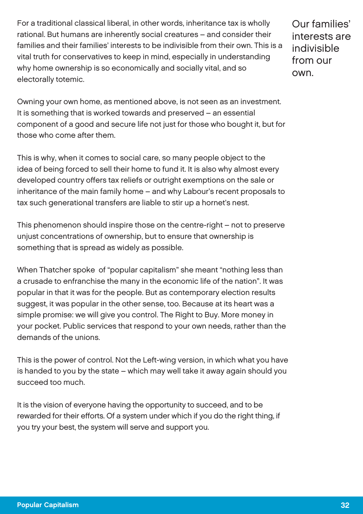For a traditional classical liberal, in other words, inheritance tax is wholly rational. But humans are inherently social creatures – and consider their families and their families' interests to be indivisible from their own. This is a vital truth for conservatives to keep in mind, especially in understanding why home ownership is so economically and socially vital, and so electorally totemic.

Our families' interests are indivisible from our own.

Owning your own home, as mentioned above, is not seen as an investment. It is something that is worked towards and preserved – an essential component of a good and secure life not just for those who bought it, but for those who come after them.

This is why, when it comes to social care, so many people object to the idea of being forced to sell their home to fund it. It is also why almost every developed country offers tax reliefs or outright exemptions on the sale or inheritance of the main family home – and why Labour's recent proposals to tax such generational transfers are liable to stir up a hornet's nest.

This phenomenon should inspire those on the centre-right – not to preserve unjust concentrations of ownership, but to ensure that ownership is something that is spread as widely as possible.

When Thatcher spoke of "popular capitalism" she meant "nothing less than a crusade to enfranchise the many in the economic life of the nation". It was popular in that it was for the people. But as contemporary election results suggest, it was popular in the other sense, too. Because at its heart was a simple promise: we will give you control. The Right to Buy. More money in your pocket. Public services that respond to your own needs, rather than the demands of the unions.

This is the power of control. Not the Left-wing version, in which what you have is handed to you by the state – which may well take it away again should you succeed too much.

It is the vision of everyone having the opportunity to succeed, and to be rewarded for their efforts. Of a system under which if you do the right thing, if you try your best, the system will serve and support you.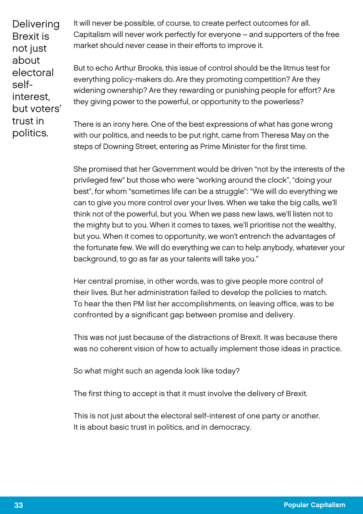**Delivering** Brexit is not just about electoral selfinterest, but voters' trust in politics.

It will never be possible, of course, to create perfect outcomes for all. Capitalism will never work perfectly for everyone – and supporters of the free market should never cease in their efforts to improve it.

But to echo Arthur Brooks, this issue of control should be the litmus test for everything policy-makers do. Are they promoting competition? Are they widening ownership? Are they rewarding or punishing people for effort? Are they giving power to the powerful, or opportunity to the powerless?

There is an irony here. One of the best expressions of what has gone wrong with our politics, and needs to be put right, came from Theresa May on the steps of Downing Street, entering as Prime Minister for the first time.

She promised that her Government would be driven "not by the interests of the privileged few" but those who were "working around the clock", "doing your best", for whom "sometimes life can be a struggle": "We will do everything we can to give you more control over your lives. When we take the big calls, we'll think not of the powerful, but you. When we pass new laws, we'll listen not to the mighty but to you. When it comes to taxes, we'll prioritise not the wealthy, but you. When it comes to opportunity, we won't entrench the advantages of the fortunate few. We will do everything we can to help anybody, whatever your background, to go as far as your talents will take you."

Her central promise, in other words, was to give people more control of their lives. But her administration failed to develop the policies to match. To hear the then PM list her accomplishments, on leaving office, was to be confronted by a significant gap between promise and delivery.

This was not just because of the distractions of Brexit. It was because there was no coherent vision of how to actually implement those ideas in practice.

So what might such an agenda look like today?

The first thing to accept is that it must involve the delivery of Brexit.

This is not just about the electoral self-interest of one party or another. It is about basic trust in politics, and in democracy.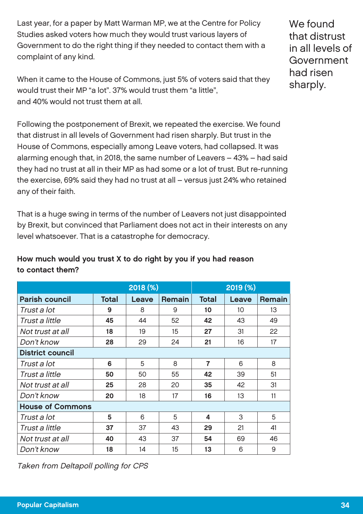Last year, for a paper by Matt Warman MP, we at the Centre for Policy Studies asked voters how much they would trust various layers of Government to do the right thing if they needed to contact them with a complaint of any kind.

When it came to the House of Commons, just 5% of voters said that they would trust their MP "a lot". 37% would trust them "a little", and 40% would not trust them at all.

Following the postponement of Brexit, we repeated the exercise. We found that distrust in all levels of Government had risen sharply. But trust in the House of Commons, especially among Leave voters, had collapsed. It was alarming enough that, in 2018, the same number of Leavers – 43% – had said they had no trust at all in their MP as had some or a lot of trust. But re-running the exercise, 69% said they had no trust at all – versus just 24% who retained any of their faith.

That is a huge swing in terms of the number of Leavers not just disappointed by Brexit, but convinced that Parliament does not act in their interests on any level whatsoever. That is a catastrophe for democracy.

### How much would you trust X to do right by you if you had reason to contact them?

|                         | 2018(%) |       |        | 2019(%)        |       |        |  |  |  |
|-------------------------|---------|-------|--------|----------------|-------|--------|--|--|--|
| <b>Parish council</b>   | Total   | Leave | Remain | Total          | Leave | Remain |  |  |  |
| Trust a lot             | 9       | 8     | 9      | 10             | 10    | 13     |  |  |  |
| Trust a little          | 45      | 44    | 52     | 42             | 43    | 49     |  |  |  |
| Not trust at all        | 18      | 19    | 15     | 27             | 31    | 22     |  |  |  |
| Don't know              | 28      | 29    | 24     | 21             | 16    | 17     |  |  |  |
| <b>District council</b> |         |       |        |                |       |        |  |  |  |
| Trust a lot             | 6       | 5     | 8      | $\overline{7}$ | 6     | 8      |  |  |  |
| Trust a little          | 50      | 50    | 55     | 42             | 39    | 51     |  |  |  |
| Not trust at all        | 25      | 28    | 20     | 35             | 42    | 31     |  |  |  |
| Don't know              | 20      | 18    | 17     | 16             | 13    | 11     |  |  |  |
| <b>House of Commons</b> |         |       |        |                |       |        |  |  |  |
| Trust a lot             | 5       | 6     | 5      | 4              | 3     | 5      |  |  |  |
| Trust a little          | 37      | 37    | 43     | 29             | 21    | 41     |  |  |  |
| Not trust at all        | 40      | 43    | 37     | 54             | 69    | 46     |  |  |  |
| Don't know              | 18      | 14    | 15     | 13             | 6     | 9      |  |  |  |

Taken from Deltapoll polling for CPS

We found that distrust in all levels of Government had risen sharply.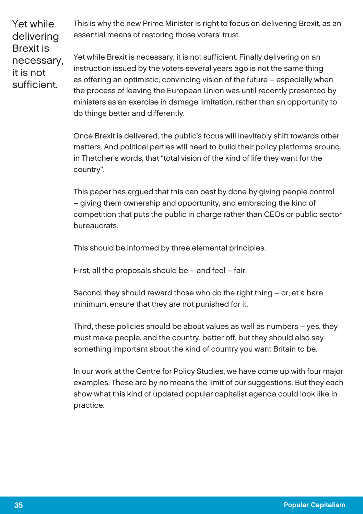Yet while delivering Brexit is necessary, it is not sufficient.

This is why the new Prime Minister is right to focus on delivering Brexit, as an essential means of restoring those voters' trust.

Yet while Brexit is necessary, it is not sufficient. Finally delivering on an instruction issued by the voters several years ago is not the same thing as offering an optimistic, convincing vision of the future – especially when the process of leaving the European Union was until recently presented by ministers as an exercise in damage limitation, rather than an opportunity to do things better and differently.

Once Brexit is delivered, the public's focus will inevitably shift towards other matters. And political parties will need to build their policy platforms around, in Thatcher's words, that "total vision of the kind of life they want for the country".

This paper has argued that this can best by done by giving people control – giving them ownership and opportunity, and embracing the kind of competition that puts the public in charge rather than CEOs or public sector bureaucrats.

This should be informed by three elemental principles.

First, all the proposals should be – and feel – fair.

Second, they should reward those who do the right thing – or, at a bare minimum, ensure that they are not punished for it.

Third, these policies should be about values as well as numbers – yes, they must make people, and the country, better off, but they should also say something important about the kind of country you want Britain to be.

In our work at the Centre for Policy Studies, we have come up with four major examples. These are by no means the limit of our suggestions. But they each show what this kind of updated popular capitalist agenda could look like in practice.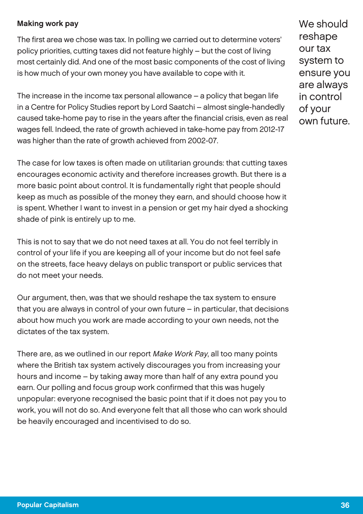#### Making work pay

The first area we chose was tax. In polling we carried out to determine voters' policy priorities, cutting taxes did not feature highly – but the cost of living most certainly did. And one of the most basic components of the cost of living is how much of your own money you have available to cope with it.

The increase in the income tax personal allowance – a policy that began life in a Centre for Policy Studies report by Lord Saatchi – almost single-handedly caused take-home pay to rise in the years after the financial crisis, even as real wages fell. Indeed, the rate of growth achieved in take-home pay from 2012-17 was higher than the rate of growth achieved from 2002-07.

The case for low taxes is often made on utilitarian grounds: that cutting taxes encourages economic activity and therefore increases growth. But there is a more basic point about control. It is fundamentally right that people should keep as much as possible of the money they earn, and should choose how it is spent. Whether I want to invest in a pension or get my hair dyed a shocking shade of pink is entirely up to me.

This is not to say that we do not need taxes at all. You do not feel terribly in control of your life if you are keeping all of your income but do not feel safe on the streets, face heavy delays on public transport or public services that do not meet your needs.

Our argument, then, was that we should reshape the tax system to ensure that you are always in control of your own future – in particular, that decisions about how much you work are made according to your own needs, not the dictates of the tax system.

There are, as we outlined in our report Make Work Pay, all too many points where the British tax system actively discourages you from increasing your hours and income – by taking away more than half of any extra pound you earn. Our polling and focus group work confirmed that this was hugely unpopular: everyone recognised the basic point that if it does not pay you to work, you will not do so. And everyone felt that all those who can work should be heavily encouraged and incentivised to do so.

We should reshape our tax system to ensure you are always in control of your own future.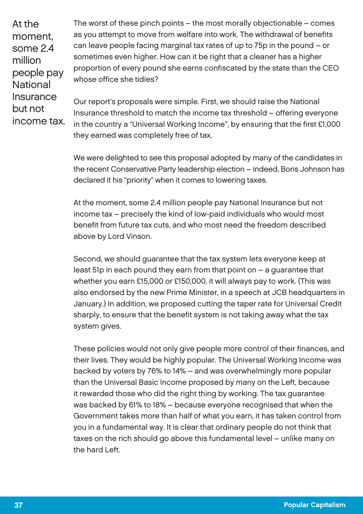At the moment, some 2.4 million people pay National Insurance but not income tax. The worst of these pinch points – the most morally objectionable – comes as you attempt to move from welfare into work. The withdrawal of benefits can leave people facing marginal tax rates of up to 75p in the pound – or sometimes even higher. How can it be right that a cleaner has a higher proportion of every pound she earns confiscated by the state than the CEO whose office she tidies?

Our report's proposals were simple. First, we should raise the National Insurance threshold to match the income tax threshold – offering everyone in the country a "Universal Working Income", by ensuring that the first £1,000 they earned was completely free of tax.

We were delighted to see this proposal adopted by many of the candidates in the recent Conservative Party leadership election – indeed, Boris Johnson has declared it his "priority" when it comes to lowering taxes.

At the moment, some 2.4 million people pay National Insurance but not income tax – precisely the kind of low-paid individuals who would most benefit from future tax cuts, and who most need the freedom described above by Lord Vinson.

Second, we should guarantee that the tax system lets everyone keep at least 51p in each pound they earn from that point on – a guarantee that whether you earn £15,000 or £150,000, it will always pay to work. (This was also endorsed by the new Prime Minister, in a speech at JCB headquarters in January.) In addition, we proposed cutting the taper rate for Universal Credit sharply, to ensure that the benefit system is not taking away what the tax system gives.

These policies would not only give people more control of their finances, and their lives. They would be highly popular. The Universal Working Income was backed by voters by 76% to 14% – and was overwhelmingly more popular than the Universal Basic Income proposed by many on the Left, because it rewarded those who did the right thing by working. The tax guarantee was backed by 61% to 18% – because everyone recognised that when the Government takes more than half of what you earn, it has taken control from you in a fundamental way. It is clear that ordinary people do not think that taxes on the rich should go above this fundamental level – unlike many on the hard Left.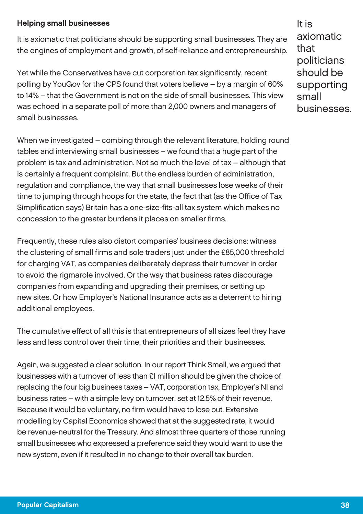#### Helping small businesses

It is axiomatic that politicians should be supporting small businesses. They are the engines of employment and growth, of self-reliance and entrepreneurship.

Yet while the Conservatives have cut corporation tax significantly, recent polling by YouGov for the CPS found that voters believe – by a margin of 60% to 14% – that the Government is not on the side of small businesses. This view was echoed in a separate poll of more than 2,000 owners and managers of small businesses.

When we investigated – combing through the relevant literature, holding round tables and interviewing small businesses – we found that a huge part of the problem is tax and administration. Not so much the level of tax – although that is certainly a frequent complaint. But the endless burden of administration, regulation and compliance, the way that small businesses lose weeks of their time to jumping through hoops for the state, the fact that (as the Office of Tax Simplification says) Britain has a one-size-fits-all tax system which makes no concession to the greater burdens it places on smaller firms.

Frequently, these rules also distort companies' business decisions: witness the clustering of small firms and sole traders just under the £85,000 threshold for charging VAT, as companies deliberately depress their turnover in order to avoid the rigmarole involved. Or the way that business rates discourage companies from expanding and upgrading their premises, or setting up new sites. Or how Employer's National Insurance acts as a deterrent to hiring additional employees.

The cumulative effect of all this is that entrepreneurs of all sizes feel they have less and less control over their time, their priorities and their businesses.

Again, we suggested a clear solution. In our report Think Small, we argued that businesses with a turnover of less than £1 million should be given the choice of replacing the four big business taxes – VAT, corporation tax, Employer's NI and business rates – with a simple levy on turnover, set at 12.5% of their revenue. Because it would be voluntary, no firm would have to lose out. Extensive modelling by Capital Economics showed that at the suggested rate, it would be revenue-neutral for the Treasury. And almost three quarters of those running small businesses who expressed a preference said they would want to use the new system, even if it resulted in no change to their overall tax burden.

It is axiomatic that politicians should be supporting small businesses.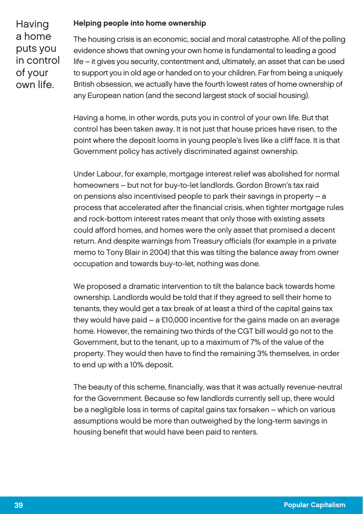#### Helping people into home ownership

**Having** a home puts you in control of your own life.

The housing crisis is an economic, social and moral catastrophe. All of the polling evidence shows that owning your own home is fundamental to leading a good life – it gives you security, contentment and, ultimately, an asset that can be used to support you in old age or handed on to your children. Far from being a uniquely British obsession, we actually have the fourth lowest rates of home ownership of any European nation (and the second largest stock of social housing).

Having a home, in other words, puts you in control of your own life. But that control has been taken away. It is not just that house prices have risen, to the point where the deposit looms in young people's lives like a cliff face. It is that Government policy has actively discriminated against ownership.

Under Labour, for example, mortgage interest relief was abolished for normal homeowners – but not for buy-to-let landlords. Gordon Brown's tax raid on pensions also incentivised people to park their savings in property – a process that accelerated after the financial crisis, when tighter mortgage rules and rock-bottom interest rates meant that only those with existing assets could afford homes, and homes were the only asset that promised a decent return. And despite warnings from Treasury officials (for example in a private memo to Tony Blair in 2004) that this was tilting the balance away from owner occupation and towards buy-to-let, nothing was done.

We proposed a dramatic intervention to tilt the balance back towards home ownership. Landlords would be told that if they agreed to sell their home to tenants, they would get a tax break of at least a third of the capital gains tax they would have paid – a £10,000 incentive for the gains made on an average home. However, the remaining two thirds of the CGT bill would go not to the Government, but to the tenant, up to a maximum of 7% of the value of the property. They would then have to find the remaining 3% themselves, in order to end up with a 10% deposit.

The beauty of this scheme, financially, was that it was actually revenue-neutral for the Government. Because so few landlords currently sell up, there would be a negligible loss in terms of capital gains tax forsaken – which on various assumptions would be more than outweighed by the long-term savings in housing benefit that would have been paid to renters.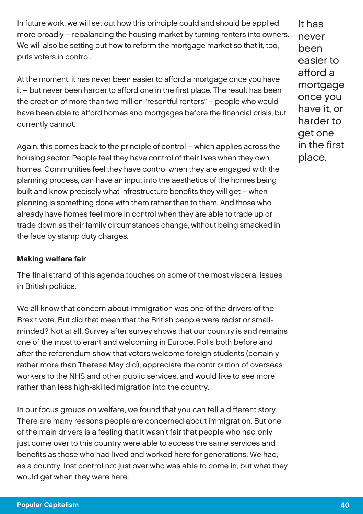In future work, we will set out how this principle could and should be applied more broadly – rebalancing the housing market by turning renters into owners. We will also be setting out how to reform the mortgage market so that it, too, puts voters in control.

At the moment, it has never been easier to afford a mortgage once you have it – but never been harder to afford one in the first place. The result has been the creation of more than two million "resentful renters" – people who would have been able to afford homes and mortgages before the financial crisis, but currently cannot.

Again, this comes back to the principle of control – which applies across the housing sector. People feel they have control of their lives when they own homes. Communities feel they have control when they are engaged with the planning process, can have an input into the aesthetics of the homes being built and know precisely what infrastructure benefits they will get – when planning is something done with them rather than to them. And those who already have homes feel more in control when they are able to trade up or trade down as their family circumstances change, without being smacked in the face by stamp duty charges.

#### Making welfare fair

The final strand of this agenda touches on some of the most visceral issues in British politics.

We all know that concern about immigration was one of the drivers of the Brexit vote. But did that mean that the British people were racist or smallminded? Not at all. Survey after survey shows that our country is and remains one of the most tolerant and welcoming in Europe. Polls both before and after the referendum show that voters welcome foreign students (certainly rather more than Theresa May did), appreciate the contribution of overseas workers to the NHS and other public services, and would like to see more rather than less high-skilled migration into the country.

In our focus groups on welfare, we found that you can tell a different story. There are many reasons people are concerned about immigration. But one of the main drivers is a feeling that it wasn't fair that people who had only just come over to this country were able to access the same services and benefits as those who had lived and worked here for generations. We had, as a country, lost control not just over who was able to come in, but what they would get when they were here.

It has never been easier to afford a mortgage once you have it, or harder to get one in the first place.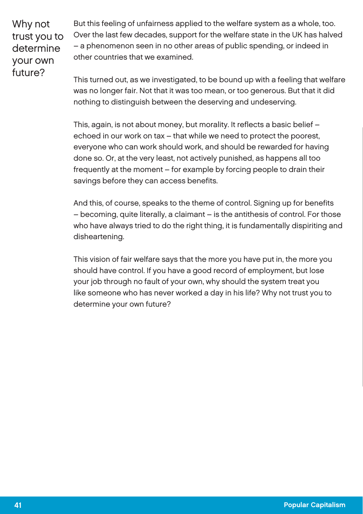Why not trust you to determine your own future?

But this feeling of unfairness applied to the welfare system as a whole, too. Over the last few decades, support for the welfare state in the UK has halved – a phenomenon seen in no other areas of public spending, or indeed in other countries that we examined.

This turned out, as we investigated, to be bound up with a feeling that welfare was no longer fair. Not that it was too mean, or too generous. But that it did nothing to distinguish between the deserving and undeserving.

This, again, is not about money, but morality. It reflects a basic belief – echoed in our work on tax – that while we need to protect the poorest, everyone who can work should work, and should be rewarded for having done so. Or, at the very least, not actively punished, as happens all too frequently at the moment – for example by forcing people to drain their savings before they can access benefits.

And this, of course, speaks to the theme of control. Signing up for benefits – becoming, quite literally, a claimant – is the antithesis of control. For those who have always tried to do the right thing, it is fundamentally dispiriting and disheartening.

This vision of fair welfare says that the more you have put in, the more you should have control. If you have a good record of employment, but lose your job through no fault of your own, why should the system treat you like someone who has never worked a day in his life? Why not trust you to determine your own future?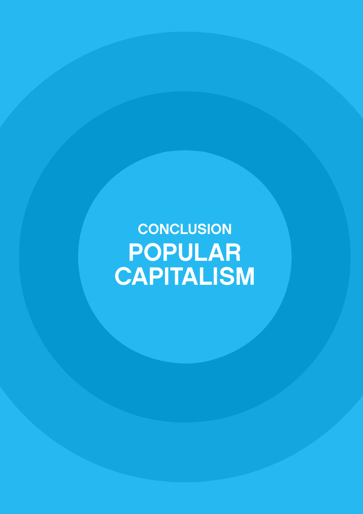**CONCLUSION** POPULAR CAPITALISM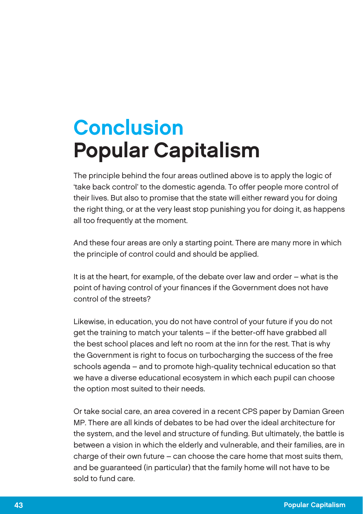### **Conclusion** Popular Capitalism

The principle behind the four areas outlined above is to apply the logic of 'take back control' to the domestic agenda. To offer people more control of their lives. But also to promise that the state will either reward you for doing the right thing, or at the very least stop punishing you for doing it, as happens all too frequently at the moment.

And these four areas are only a starting point. There are many more in which the principle of control could and should be applied.

It is at the heart, for example, of the debate over law and order – what is the point of having control of your finances if the Government does not have control of the streets?

Likewise, in education, you do not have control of your future if you do not get the training to match your talents – if the better-off have grabbed all the best school places and left no room at the inn for the rest. That is why the Government is right to focus on turbocharging the success of the free schools agenda – and to promote high-quality technical education so that we have a diverse educational ecosystem in which each pupil can choose the option most suited to their needs.

Or take social care, an area covered in a recent CPS paper by Damian Green MP. There are all kinds of debates to be had over the ideal architecture for the system, and the level and structure of funding. But ultimately, the battle is between a vision in which the elderly and vulnerable, and their families, are in charge of their own future – can choose the care home that most suits them, and be guaranteed (in particular) that the family home will not have to be sold to fund care.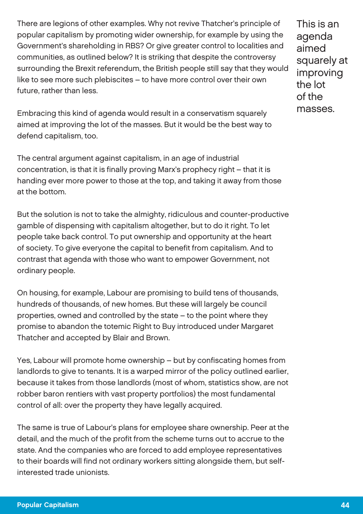There are legions of other examples. Why not revive Thatcher's principle of popular capitalism by promoting wider ownership, for example by using the Government's shareholding in RBS? Or give greater control to localities and communities, as outlined below? It is striking that despite the controversy surrounding the Brexit referendum, the British people still say that they would like to see more such plebiscites – to have more control over their own future, rather than less.

This is an agenda aimed squarely at improving the lot of the masses.

Embracing this kind of agenda would result in a conservatism squarely aimed at improving the lot of the masses. But it would be the best way to defend capitalism, too.

The central argument against capitalism, in an age of industrial concentration, is that it is finally proving Marx's prophecy right – that it is handing ever more power to those at the top, and taking it away from those at the bottom.

But the solution is not to take the almighty, ridiculous and counter-productive gamble of dispensing with capitalism altogether, but to do it right. To let people take back control. To put ownership and opportunity at the heart of society. To give everyone the capital to benefit from capitalism. And to contrast that agenda with those who want to empower Government, not ordinary people.

On housing, for example, Labour are promising to build tens of thousands, hundreds of thousands, of new homes. But these will largely be council properties, owned and controlled by the state – to the point where they promise to abandon the totemic Right to Buy introduced under Margaret Thatcher and accepted by Blair and Brown.

Yes, Labour will promote home ownership – but by confiscating homes from landlords to give to tenants. It is a warped mirror of the policy outlined earlier, because it takes from those landlords (most of whom, statistics show, are not robber baron rentiers with vast property portfolios) the most fundamental control of all: over the property they have legally acquired.

The same is true of Labour's plans for employee share ownership. Peer at the detail, and the much of the profit from the scheme turns out to accrue to the state. And the companies who are forced to add employee representatives to their boards will find not ordinary workers sitting alongside them, but selfinterested trade unionists.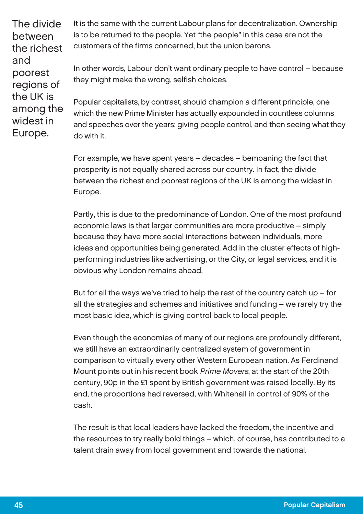The divide between the richest and poorest regions of the UK is among the widest in Europe.

It is the same with the current Labour plans for decentralization. Ownership is to be returned to the people. Yet "the people" in this case are not the customers of the firms concerned, but the union barons.

In other words, Labour don't want ordinary people to have control – because they might make the wrong, selfish choices.

Popular capitalists, by contrast, should champion a different principle, one which the new Prime Minister has actually expounded in countless columns and speeches over the years: giving people control, and then seeing what they do with it.

For example, we have spent years – decades – bemoaning the fact that prosperity is not equally shared across our country. In fact, the divide between the richest and poorest regions of the UK is among the widest in Europe.

Partly, this is due to the predominance of London. One of the most profound economic laws is that larger communities are more productive – simply because they have more social interactions between individuals, more ideas and opportunities being generated. Add in the cluster effects of highperforming industries like advertising, or the City, or legal services, and it is obvious why London remains ahead.

But for all the ways we've tried to help the rest of the country catch up  $-$  for all the strategies and schemes and initiatives and funding – we rarely try the most basic idea, which is giving control back to local people.

Even though the economies of many of our regions are profoundly different, we still have an extraordinarily centralized system of government in comparison to virtually every other Western European nation. As Ferdinand Mount points out in his recent book Prime Movers, at the start of the 20th century, 90p in the £1 spent by British government was raised locally. By its end, the proportions had reversed, with Whitehall in control of 90% of the cash.

The result is that local leaders have lacked the freedom, the incentive and the resources to try really bold things – which, of course, has contributed to a talent drain away from local government and towards the national.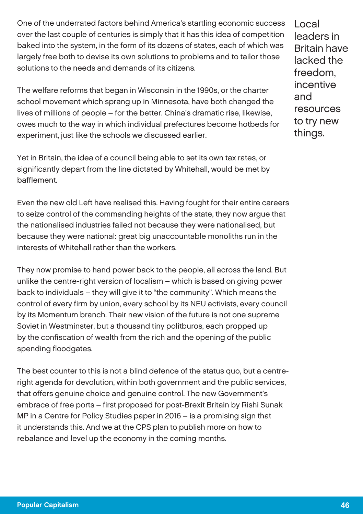One of the underrated factors behind America's startling economic success over the last couple of centuries is simply that it has this idea of competition baked into the system, in the form of its dozens of states, each of which was largely free both to devise its own solutions to problems and to tailor those solutions to the needs and demands of its citizens.

The welfare reforms that began in Wisconsin in the 1990s, or the charter school movement which sprang up in Minnesota, have both changed the lives of millions of people – for the better. China's dramatic rise, likewise, owes much to the way in which individual prefectures become hotbeds for experiment, just like the schools we discussed earlier.

Yet in Britain, the idea of a council being able to set its own tax rates, or significantly depart from the line dictated by Whitehall, would be met by bafflement.

Even the new old Left have realised this. Having fought for their entire careers to seize control of the commanding heights of the state, they now argue that the nationalised industries failed not because they were nationalised, but because they were national: great big unaccountable monoliths run in the interests of Whitehall rather than the workers.

They now promise to hand power back to the people, all across the land. But unlike the centre-right version of localism – which is based on giving power back to individuals – they will give it to "the community". Which means the control of every firm by union, every school by its NEU activists, every council by its Momentum branch. Their new vision of the future is not one supreme Soviet in Westminster, but a thousand tiny politburos, each propped up by the confiscation of wealth from the rich and the opening of the public spending floodgates.

The best counter to this is not a blind defence of the status quo, but a centreright agenda for devolution, within both government and the public services, that offers genuine choice and genuine control. The new Government's embrace of free ports – first proposed for post-Brexit Britain by Rishi Sunak MP in a Centre for Policy Studies paper in 2016 – is a promising sign that it understands this. And we at the CPS plan to publish more on how to rebalance and level up the economy in the coming months.

Local leaders in Britain have lacked the freedom, incentive and resources to try new things.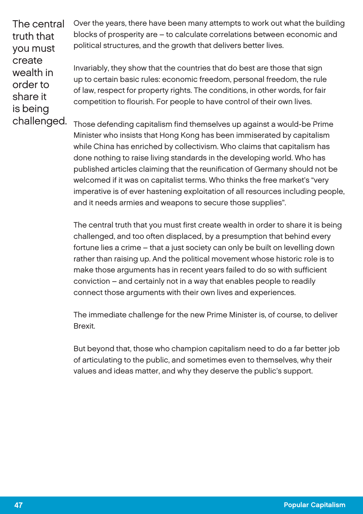The central truth that you must create wealth in order to share it is being challenged. Over the years, there have been many attempts to work out what the building blocks of prosperity are – to calculate correlations between economic and political structures, and the growth that delivers better lives.

Invariably, they show that the countries that do best are those that sign up to certain basic rules: economic freedom, personal freedom, the rule of law, respect for property rights. The conditions, in other words, for fair competition to flourish. For people to have control of their own lives.

Those defending capitalism find themselves up against a would-be Prime Minister who insists that Hong Kong has been immiserated by capitalism while China has enriched by collectivism. Who claims that capitalism has done nothing to raise living standards in the developing world. Who has published articles claiming that the reunification of Germany should not be welcomed if it was on capitalist terms. Who thinks the free market's "very imperative is of ever hastening exploitation of all resources including people, and it needs armies and weapons to secure those supplies".

The central truth that you must first create wealth in order to share it is being challenged, and too often displaced, by a presumption that behind every fortune lies a crime – that a just society can only be built on levelling down rather than raising up. And the political movement whose historic role is to make those arguments has in recent years failed to do so with sufficient conviction – and certainly not in a way that enables people to readily connect those arguments with their own lives and experiences.

The immediate challenge for the new Prime Minister is, of course, to deliver Brexit.

But beyond that, those who champion capitalism need to do a far better job of articulating to the public, and sometimes even to themselves, why their values and ideas matter, and why they deserve the public's support.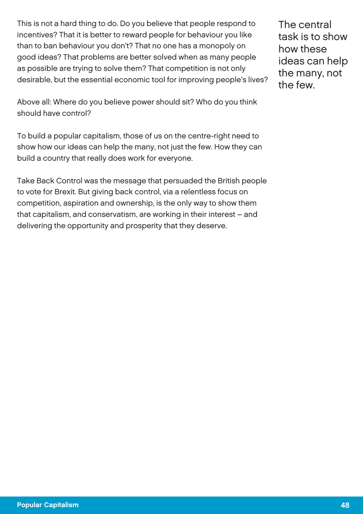This is not a hard thing to do. Do you believe that people respond to incentives? That it is better to reward people for behaviour you like than to ban behaviour you don't? That no one has a monopoly on good ideas? That problems are better solved when as many people as possible are trying to solve them? That competition is not only desirable, but the essential economic tool for improving people's lives?

Above all: Where do you believe power should sit? Who do you think should have control?

To build a popular capitalism, those of us on the centre-right need to show how our ideas can help the many, not just the few. How they can build a country that really does work for everyone.

Take Back Control was the message that persuaded the British people to vote for Brexit. But giving back control, via a relentless focus on competition, aspiration and ownership, is the only way to show them that capitalism, and conservatism, are working in their interest – and delivering the opportunity and prosperity that they deserve.

The central task is to show how these ideas can help the many, not the few.